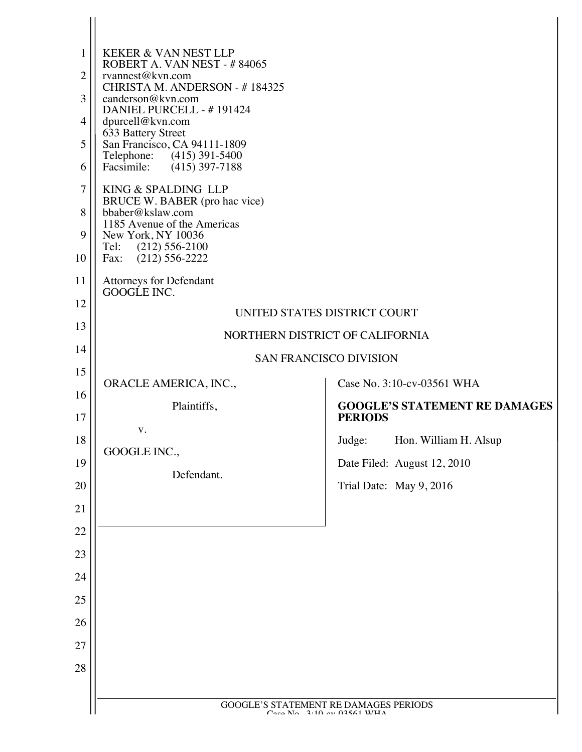| 4<br>5<br>6<br>7<br>8<br>9<br>10<br>11<br>12<br>13<br>14<br>15             | DANIEL PURCELL - #191424<br>dpurcell@kvn.com<br>633 Battery Street<br>San Francisco, CA 94111-1809<br>Telephone: (415) 391-5400<br>Facsimile: (415) 397-7188<br>KING & SPALDING LLP<br>BRUCE W. BABER (pro hac vice)<br>bbaber@kslaw.com<br>1185 Avenue of the Americas<br>New York, NY 10036<br>Tel: (212) 556-2100<br>Fax: (212) 556-2222<br>Attorneys for Defendant<br>GOOGLE INC.<br>UNITED STATES DISTRICT COURT<br>NORTHERN DISTRICT OF CALIFORNIA<br><b>SAN FRANCISCO DIVISION</b> |                                                                                                                                                                                   |
|----------------------------------------------------------------------------|-------------------------------------------------------------------------------------------------------------------------------------------------------------------------------------------------------------------------------------------------------------------------------------------------------------------------------------------------------------------------------------------------------------------------------------------------------------------------------------------|-----------------------------------------------------------------------------------------------------------------------------------------------------------------------------------|
| 16<br>17<br>18<br>19<br>20<br>21<br>22<br>23<br>24<br>25<br>26<br>27<br>28 | ORACLE AMERICA, INC.,<br>Plaintiffs,<br>V.<br>GOOGLE INC.,<br>Defendant.                                                                                                                                                                                                                                                                                                                                                                                                                  | Case No. 3:10-cv-03561 WHA<br><b>GOOGLE'S STATEMENT RE DAMAGES</b><br><b>PERIODS</b><br>Judge:<br>Hon. William H. Alsup<br>Date Filed: August 12, 2010<br>Trial Date: May 9, 2016 |